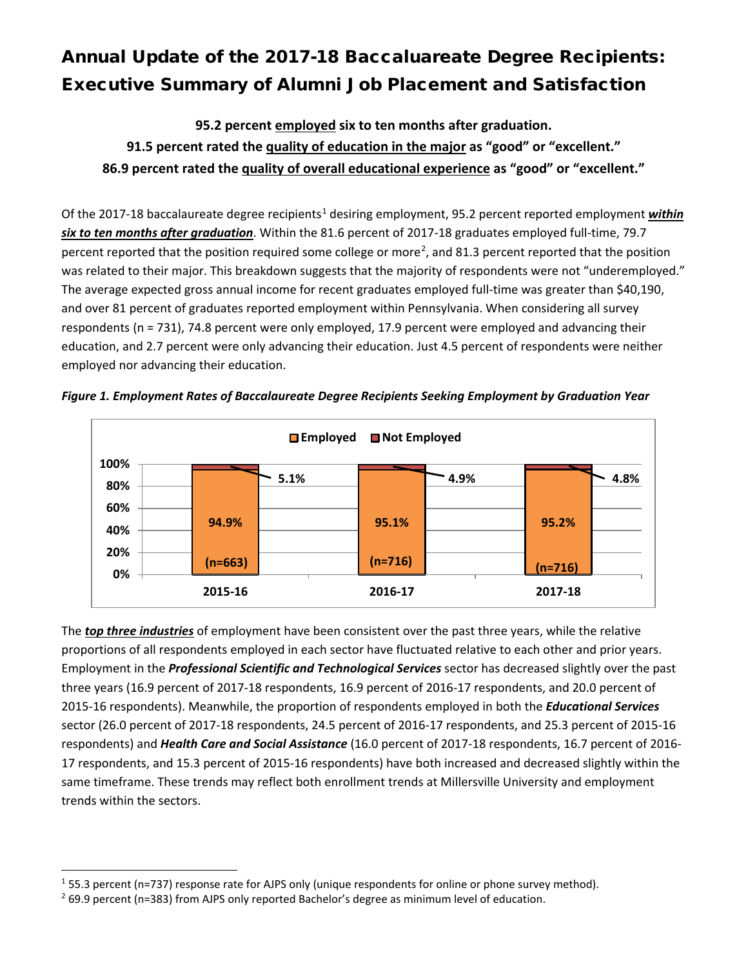## Annual Update of the 2017-18 Baccaluareate Degree Recipients: Executive Summary of Alumni Job Placement and Satisfaction

**95.2 percent employed six to ten months after graduation. 91.5 percent rated the quality of education in the major as "good" or "excellent." 86.9 percent rated the quality of overall educational experience as "good" or "excellent."**

Of the 20[1](#page-0-0)7-18 baccalaureate degree recipients<sup>1</sup> desiring employment, 95.2 percent reported employment *within six to ten months after graduation*. Within the 81.6 percent of 2017-18 graduates employed full-time, 79.7 percent reported that the position required some college or more<sup>[2](#page-0-1)</sup>, and 81.3 percent reported that the position was related to their major. This breakdown suggests that the majority of respondents were not "underemployed." The average expected gross annual income for recent graduates employed full-time was greater than \$40,190, and over 81 percent of graduates reported employment within Pennsylvania. When considering all survey respondents (n = 731), 74.8 percent were only employed, 17.9 percent were employed and advancing their education, and 2.7 percent were only advancing their education. Just 4.5 percent of respondents were neither employed nor advancing their education.





The *top three industries* of employment have been consistent over the past three years, while the relative proportions of all respondents employed in each sector have fluctuated relative to each other and prior years. Employment in the *Professional Scientific and Technological Services* sector has decreased slightly over the past three years (16.9 percent of 2017-18 respondents, 16.9 percent of 2016-17 respondents, and 20.0 percent of 2015-16 respondents). Meanwhile, the proportion of respondents employed in both the *Educational Services* sector (26.0 percent of 2017-18 respondents, 24.5 percent of 2016-17 respondents, and 25.3 percent of 2015-16 respondents) and *Health Care and Social Assistance* (16.0 percent of 2017-18 respondents, 16.7 percent of 2016- 17 respondents, and 15.3 percent of 2015-16 respondents) have both increased and decreased slightly within the same timeframe. These trends may reflect both enrollment trends at Millersville University and employment trends within the sectors.

<span id="page-0-0"></span><sup>&</sup>lt;sup>1</sup> 55.3 percent (n=737) response rate for AJPS only (unique respondents for online or phone survey method).<br><sup>2</sup> 69.9 percent (n=383) from AJPS only reported Bachelor's degree as minimum level of education.

<span id="page-0-1"></span>